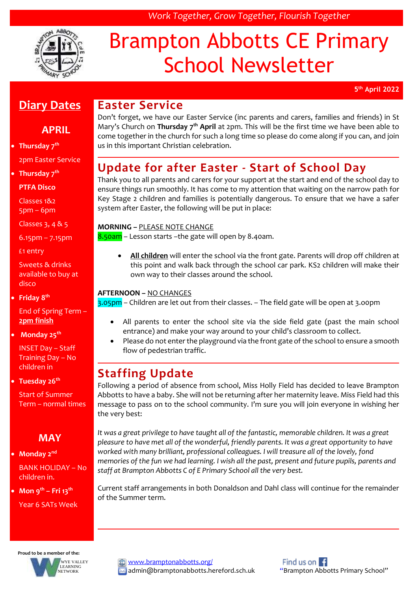

# Brampton Abbotts CE Primary School Newsletter

*Work Together, Grow Together, Flourish Together*

**5 th April 2022**

### **Diary Dates**

#### **APRIL**

#### **Thursday 7th**  2pm Easter Service

**Thursday 7th**

**PTFA Disco** 

Classes 1&2 5pm – 6pm

Classes 3, 4 & 5

6.15pm – 7.15pm

£1 entry

Sweets & drinks available to buy at disco

**Friday 8th**

End of Spring Term – **2pm finish**

**Monday 25th**

INSET Day – Staff Training Day – No children in

**Tuesday 26th**

Start of Summer Term – normal times

#### **MAY**

#### **Monday 2nd**

BANK HOLIDAY – No children in.

**Mon 9th – Fri 13th**

Year 6 SATs Week

### **Proud to be a member of the:**



[www.bramptonabbotts.org/](http://www.bramptonabbotts.org/) admin@bramptonabbotts.hereford.sch.uk "Brampton Abbotts Primary School"

## Find us on  $\blacksquare$

## **Easter Service**

Don't forget, we have our Easter Service (inc parents and carers, families and friends) in St Mary's Church on **Thursday 7th April** at 2pm. This will be the first time we have been able to come together in the church for such a long time so please do come along if you can, and join us in this important Christian celebration.

## **Update for after Easter - Start of School Day**

Thank you to all parents and carers for your support at the start and end of the school day to ensure things run smoothly. It has come to my attention that waiting on the narrow path for Key Stage 2 children and families is potentially dangerous. To ensure that we have a safer system after Easter, the following will be put in place:

#### **MORNING –** PLEASE NOTE CHANGE

8.50am – Lesson starts –the gate will open by 8.40am.

 **All children** will enter the school via the front gate. Parents will drop off children at this point and walk back through the school car park. KS2 children will make their own way to their classes around the school.

#### **AFTERNOON –** NO CHANGES

3.05pm – Children are let out from their classes. – The field gate will be open at 3.00pm

- All parents to enter the school site via the side field gate (past the main school entrance) and make your way around to your child's classroom to collect.
- Please do not enter the playground via the front gate of the school to ensure a smooth flow of pedestrian traffic.

## **Staffing Update**

Following a period of absence from school, Miss Holly Field has decided to leave Brampton Abbotts to have a baby. She will not be returning after her maternity leave. Miss Field had this message to pass on to the school community. I'm sure you will join everyone in wishing her the very best:

It was a great privilege to have taught all of the fantastic, memorable children. It was a great *pleasure to have met all of the wonderful, friendly parents. It was a great opportunity to have worked with many brilliant, professional colleagues. I will treasure all of the lovely, fond memories of the fun we had learning. I wish all the past, present and future pupils, parents and staff at Brampton Abbotts C of E Primary School all the very best.*

Current staff arrangements in both Donaldson and Dahl class will continue for the remainder of the Summer term.